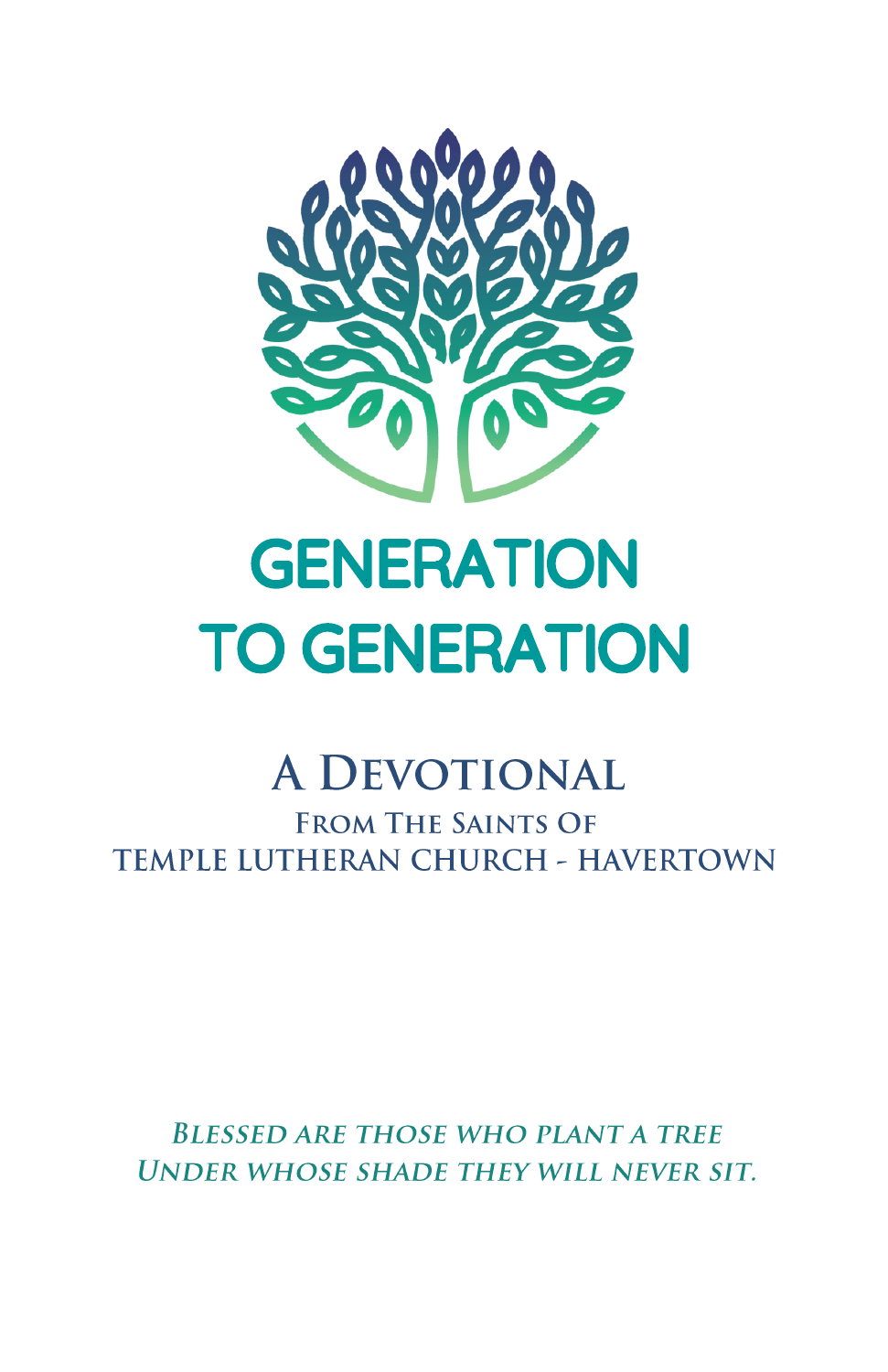

## **GENERATION TO GENERATION**

## **A DEVOTIONAL**

**FROM THE SAINTS OF TEMPLE LUTHERAN CHURCH - HAVERTOWN** 

**BLESSED ARE THOSE WHO PLANT A TREE UNDER WHOSE SHADE THEY WILL NEVER SIT.**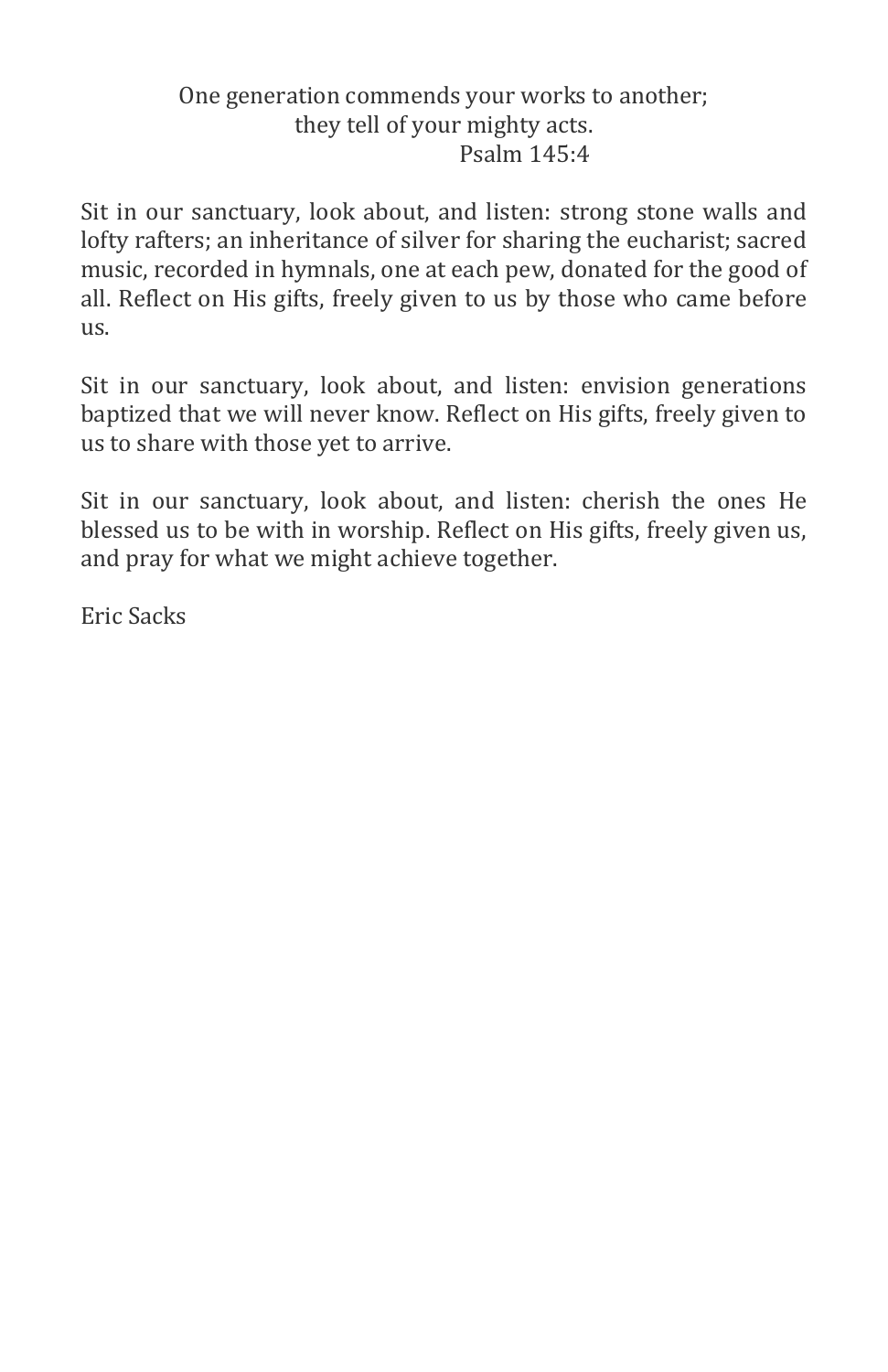## One generation commends your works to another; they tell of your mighty acts. Psalm 145:4

Sit in our sanctuary, look about, and listen: strong stone walls and lofty rafters; an inheritance of silver for sharing the eucharist; sacred music, recorded in hymnals, one at each pew, donated for the good of all. Reflect on His gifts, freely given to us by those who came before us.

Sit in our sanctuary, look about, and listen: envision generations baptized that we will never know. Reflect on His gifts, freely given to us to share with those yet to arrive.

Sit in our sanctuary, look about, and listen: cherish the ones He blessed us to be with in worship. Reflect on His gifts, freely given us, and pray for what we might achieve together.

Eric Sacks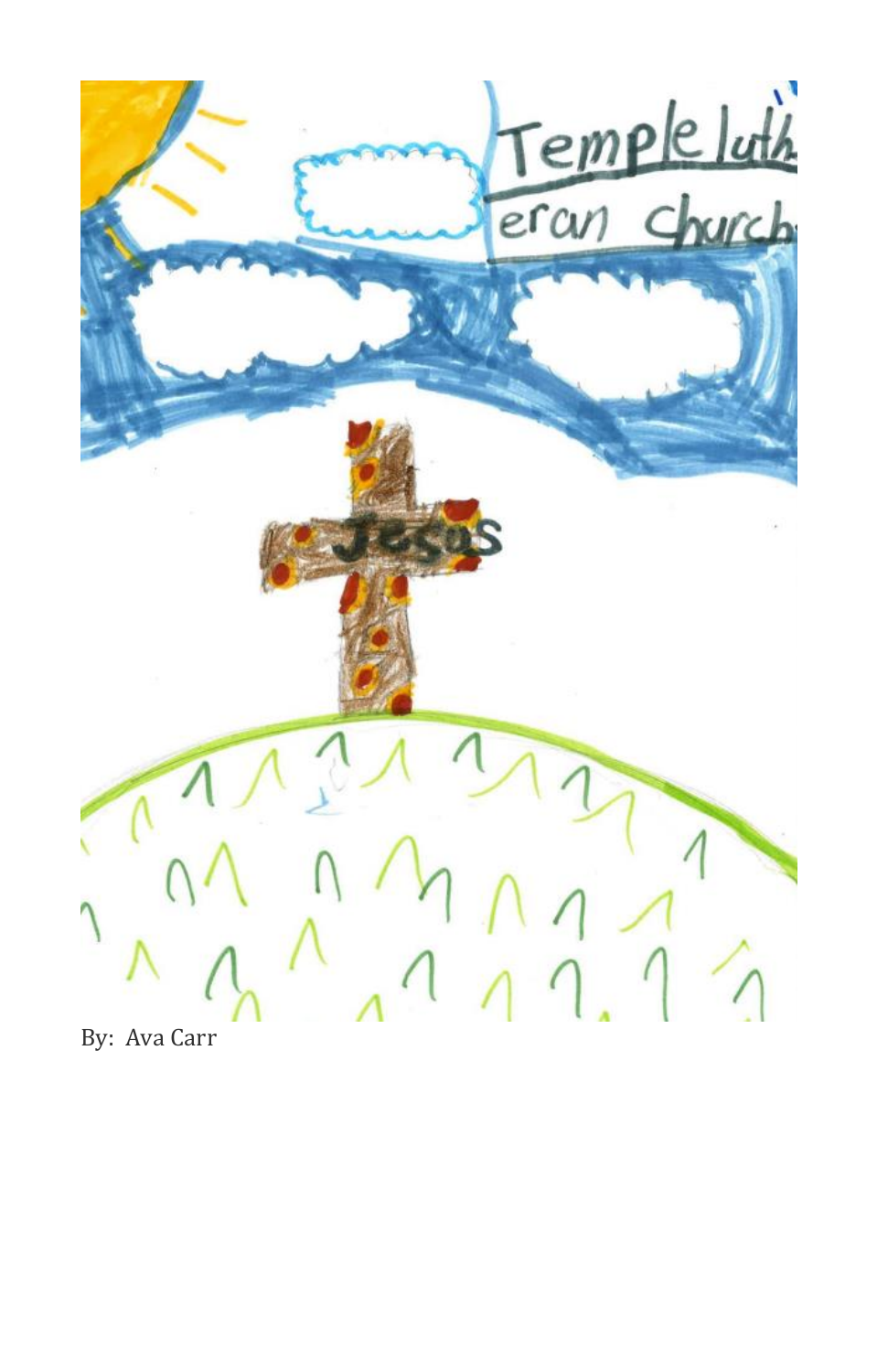

By: Ava Carr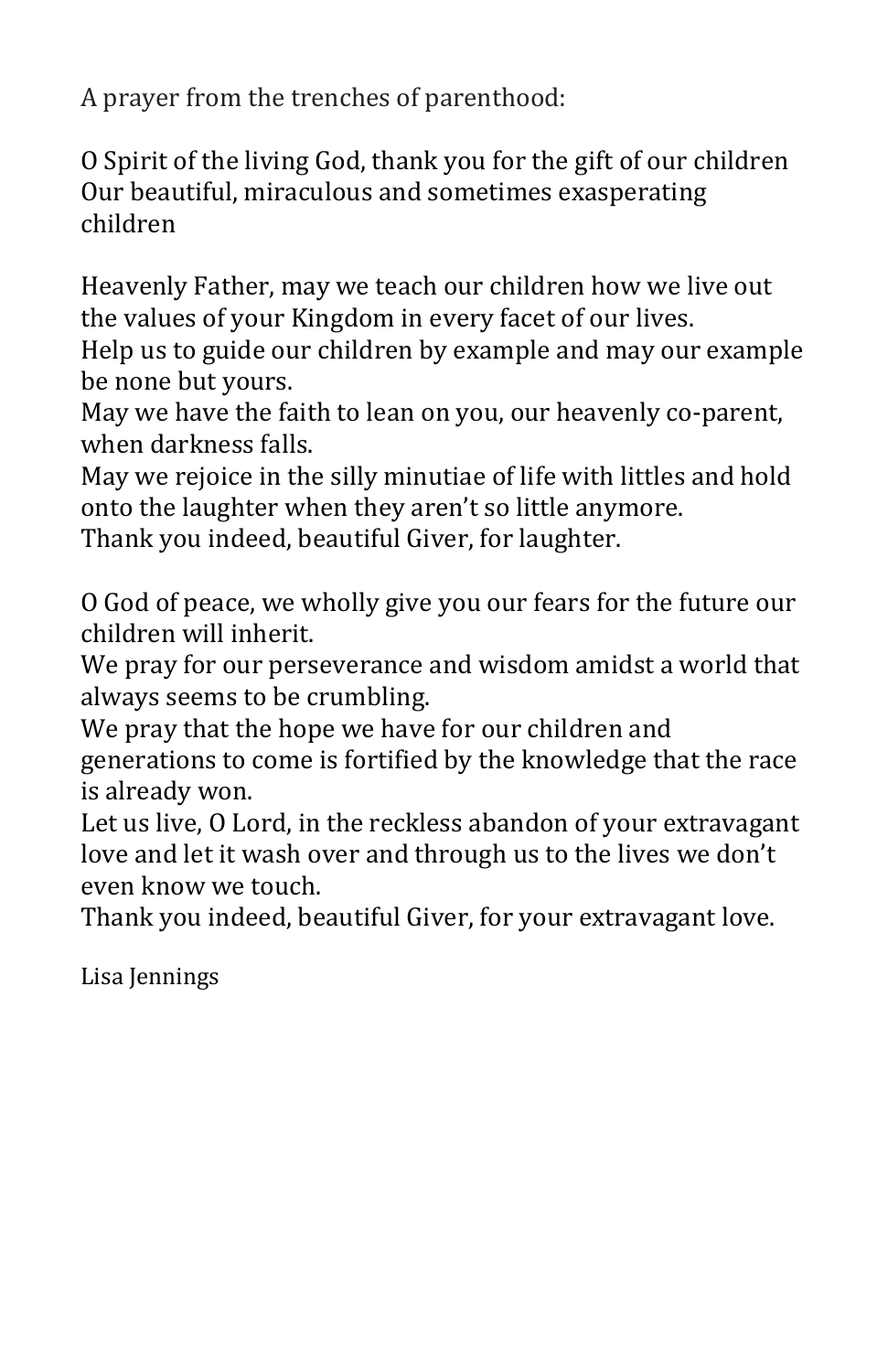A prayer from the trenches of parenthood:

O Spirit of the living God, thank you for the gift of our children Our beautiful, miraculous and sometimes exasperating children

Heavenly Father, may we teach our children how we live out the values of your Kingdom in every facet of our lives.

Help us to guide our children by example and may our example be none but yours.

May we have the faith to lean on you, our heavenly co-parent, when darkness falls.

May we rejoice in the silly minutiae of life with littles and hold onto the laughter when they aren't so little anymore.

Thank you indeed, beautiful Giver, for laughter.

O God of peace, we wholly give you our fears for the future our children will inherit.

We pray for our perseverance and wisdom amidst a world that always seems to be crumbling.

We pray that the hope we have for our children and generations to come is fortified by the knowledge that the race is already won.

Let us live, O Lord, in the reckless abandon of your extravagant love and let it wash over and through us to the lives we don't even know we touch.

Thank you indeed, beautiful Giver, for your extravagant love.

Lisa Jennings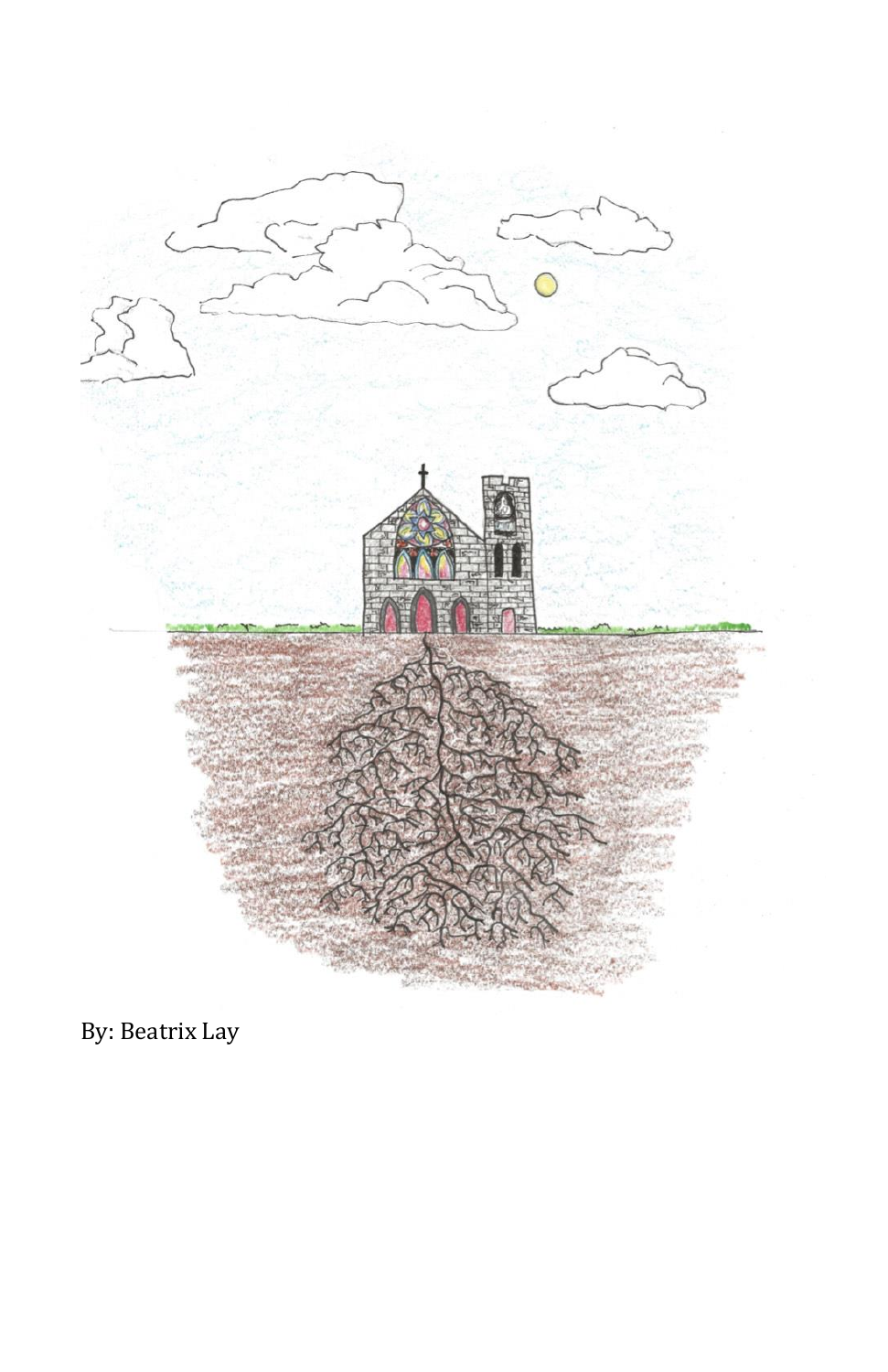

By: Beatrix Lay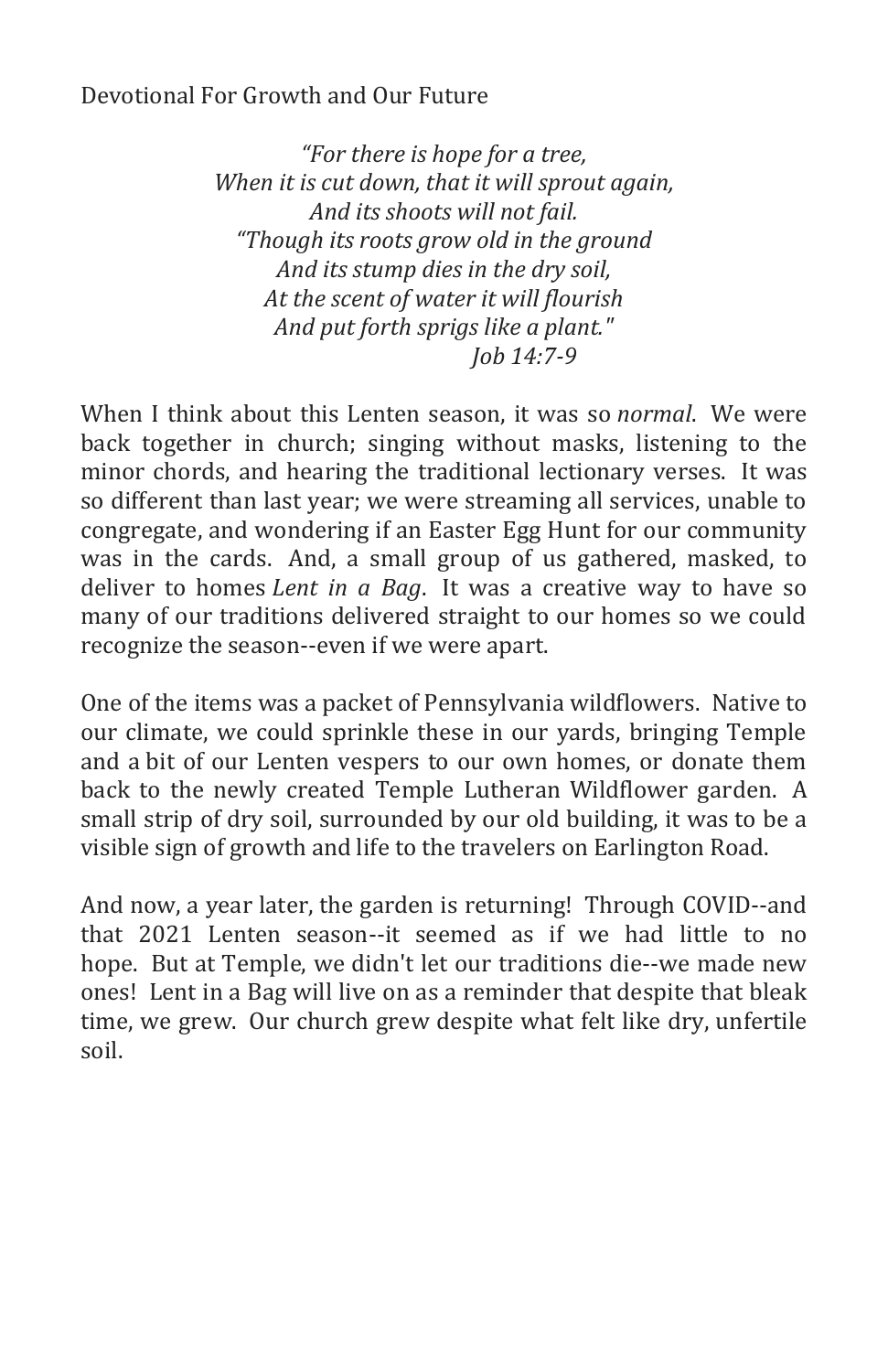## Devotional For Growth and Our Future

*"For there is hope for a tree, When it is cut down, that it will sprout again, And its shoots will not fail. "Though its roots grow old in the ground And its stump dies in the dry soil, At the scent of water it will flourish And put forth sprigs like a plant." Job 14:7-9*

When I think about this Lenten season, it was so *normal*. We were back together in church; singing without masks, listening to the minor chords, and hearing the traditional lectionary verses. It was so different than last year; we were streaming all services, unable to congregate, and wondering if an Easter Egg Hunt for our community was in the cards. And, a small group of us gathered, masked, to deliver to homes *Lent in a Bag*. It was a creative way to have so many of our traditions delivered straight to our homes so we could recognize the season--even if we were apart.

One of the items was a packet of Pennsylvania wildflowers. Native to our climate, we could sprinkle these in our yards, bringing Temple and a bit of our Lenten vespers to our own homes, or donate them back to the newly created Temple Lutheran Wildflower garden. A small strip of dry soil, surrounded by our old building, it was to be a visible sign of growth and life to the travelers on Earlington Road.

And now, a year later, the garden is returning! Through COVID--and that 2021 Lenten season--it seemed as if we had little to no hope. But at Temple, we didn't let our traditions die--we made new ones! Lent in a Bag will live on as a reminder that despite that bleak time, we grew. Our church grew despite what felt like dry, unfertile soil.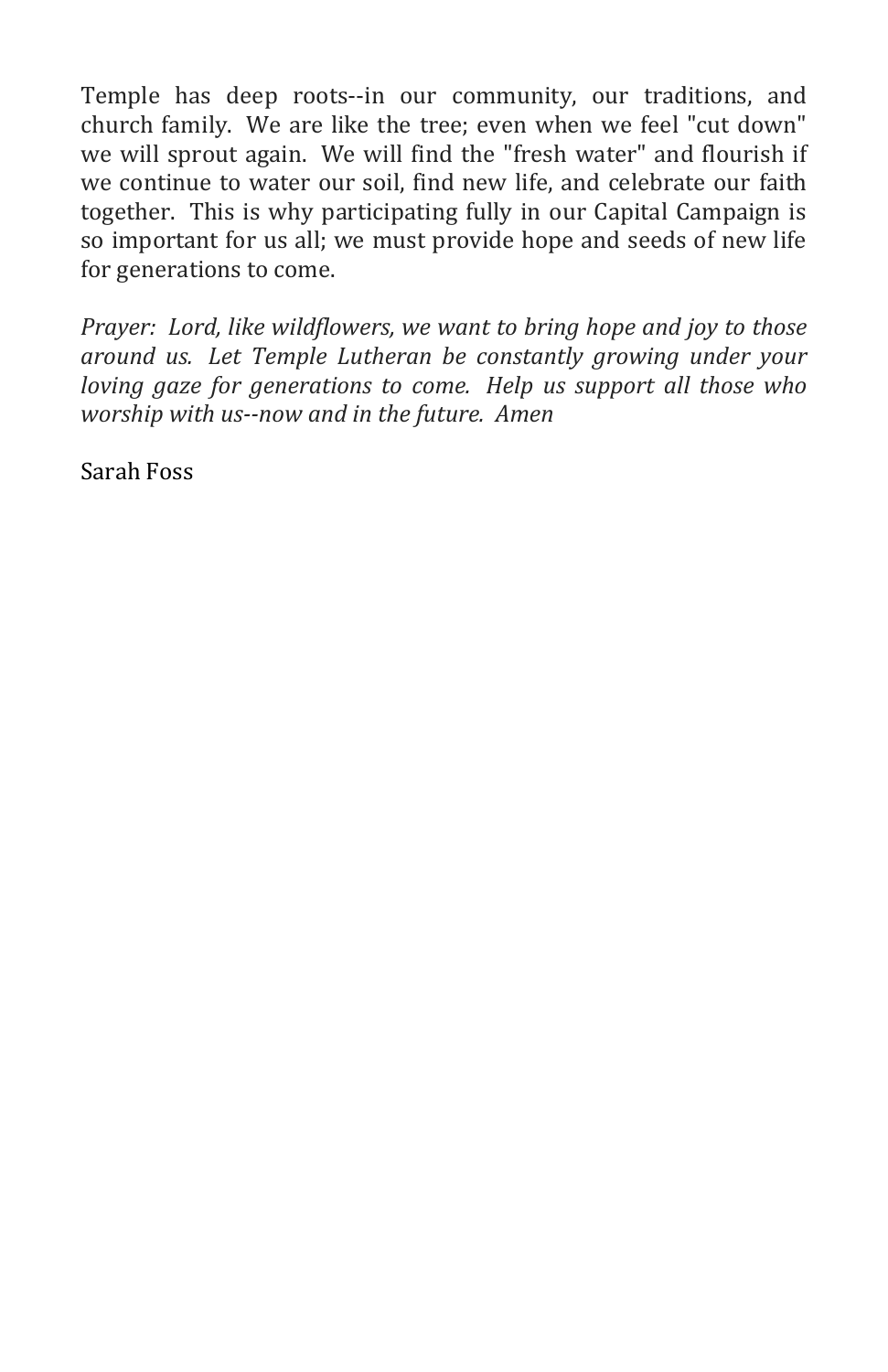Temple has deep roots--in our community, our traditions, and church family. We are like the tree; even when we feel "cut down" we will sprout again. We will find the "fresh water" and flourish if we continue to water our soil, find new life, and celebrate our faith together. This is why participating fully in our Capital Campaign is so important for us all; we must provide hope and seeds of new life for generations to come.

*Prayer: Lord, like wildflowers, we want to bring hope and joy to those around us. Let Temple Lutheran be constantly growing under your loving gaze for generations to come. Help us support all those who worship with us--now and in the future. Amen*

Sarah Foss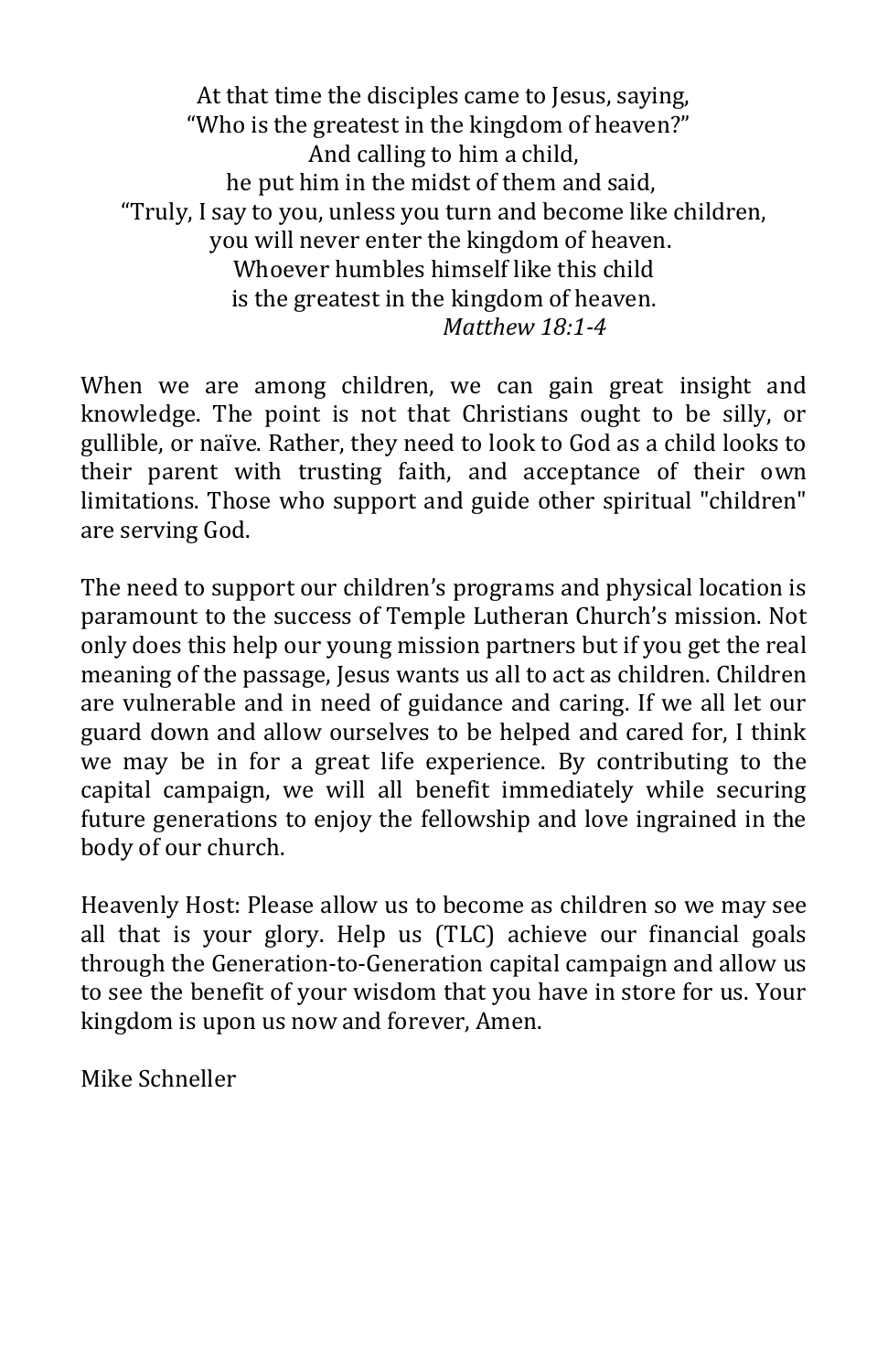At that time the disciples came to Jesus, saying, "Who is the greatest in the kingdom of heaven?" And calling to him a child, he put him in the midst of them and said, "Truly, I say to you, unless you turn and become like children, you will never enter the kingdom of heaven. Whoever humbles himself like this child is the greatest in the kingdom of heaven. *Matthew 18:1-4*

When we are among children, we can gain great insight and knowledge. The point is not that Christians ought to be silly, or gullible, or naïve. Rather, they need to look to God as a child looks to their parent with trusting faith, and acceptance of their own limitations. Those who support and guide other spiritual "children" are serving God.

The need to support our children's programs and physical location is paramount to the success of Temple Lutheran Church's mission. Not only does this help our young mission partners but if you get the real meaning of the passage, Jesus wants us all to act as children. Children are vulnerable and in need of guidance and caring. If we all let our guard down and allow ourselves to be helped and cared for, I think we may be in for a great life experience. By contributing to the capital campaign, we will all benefit immediately while securing future generations to enjoy the fellowship and love ingrained in the body of our church.

Heavenly Host: Please allow us to become as children so we may see all that is your glory. Help us (TLC) achieve our financial goals through the Generation-to-Generation capital campaign and allow us to see the benefit of your wisdom that you have in store for us. Your kingdom is upon us now and forever, Amen.

Mike Schneller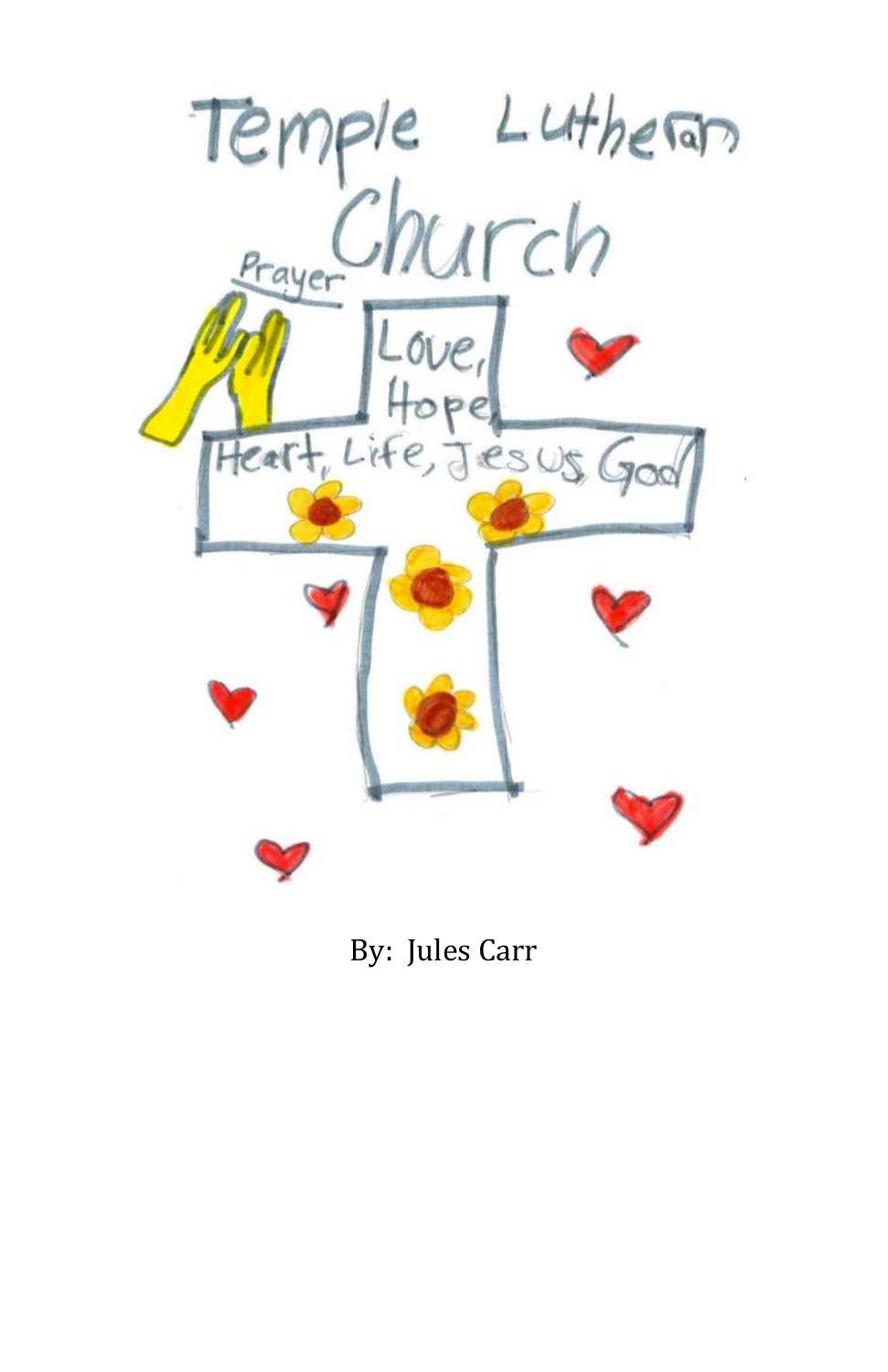

By: Jules Carr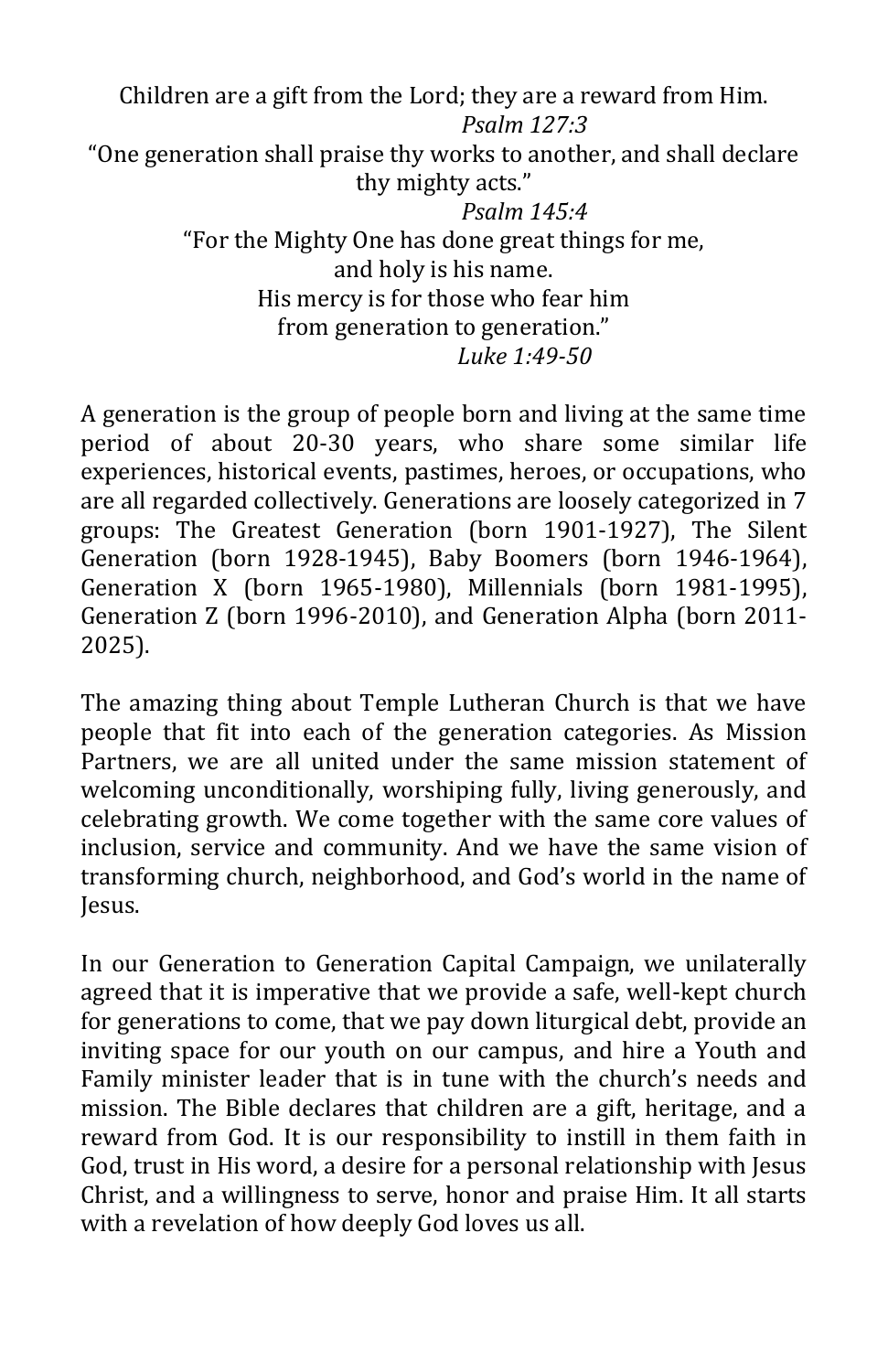Children are a gift from the Lord; they are a reward from Him. *Psalm 127:3*  "One generation shall praise thy works to another, and shall declare thy mighty acts." *Psalm 145:4* "For the Mighty One has done great things for me, and holy is his name. His mercy is for those who fear him from generation to generation." *Luke 1:49-50*

A generation is the group of people born and living at the same time period of about 20-30 years, who share some similar life experiences, historical events, pastimes, heroes, or occupations, who are all regarded collectively. Generations are loosely categorized in 7 groups: The Greatest Generation (born 1901-1927), The Silent Generation (born 1928-1945), Baby Boomers (born 1946-1964), Generation X (born 1965-1980), Millennials (born 1981-1995), Generation Z (born 1996-2010), and Generation Alpha (born 2011- 2025).

The amazing thing about Temple Lutheran Church is that we have people that fit into each of the generation categories. As Mission Partners, we are all united under the same mission statement of welcoming unconditionally, worshiping fully, living generously, and celebrating growth. We come together with the same core values of inclusion, service and community. And we have the same vision of transforming church, neighborhood, and God's world in the name of Jesus.

In our Generation to Generation Capital Campaign, we unilaterally agreed that it is imperative that we provide a safe, well-kept church for generations to come, that we pay down liturgical debt, provide an inviting space for our youth on our campus, and hire a Youth and Family minister leader that is in tune with the church's needs and mission. The Bible declares that children are a gift, heritage, and a reward from God. It is our responsibility to instill in them faith in God, trust in His word, a desire for a personal relationship with Jesus Christ, and a willingness to serve, honor and praise Him. It all starts with a revelation of how deeply God loves us all.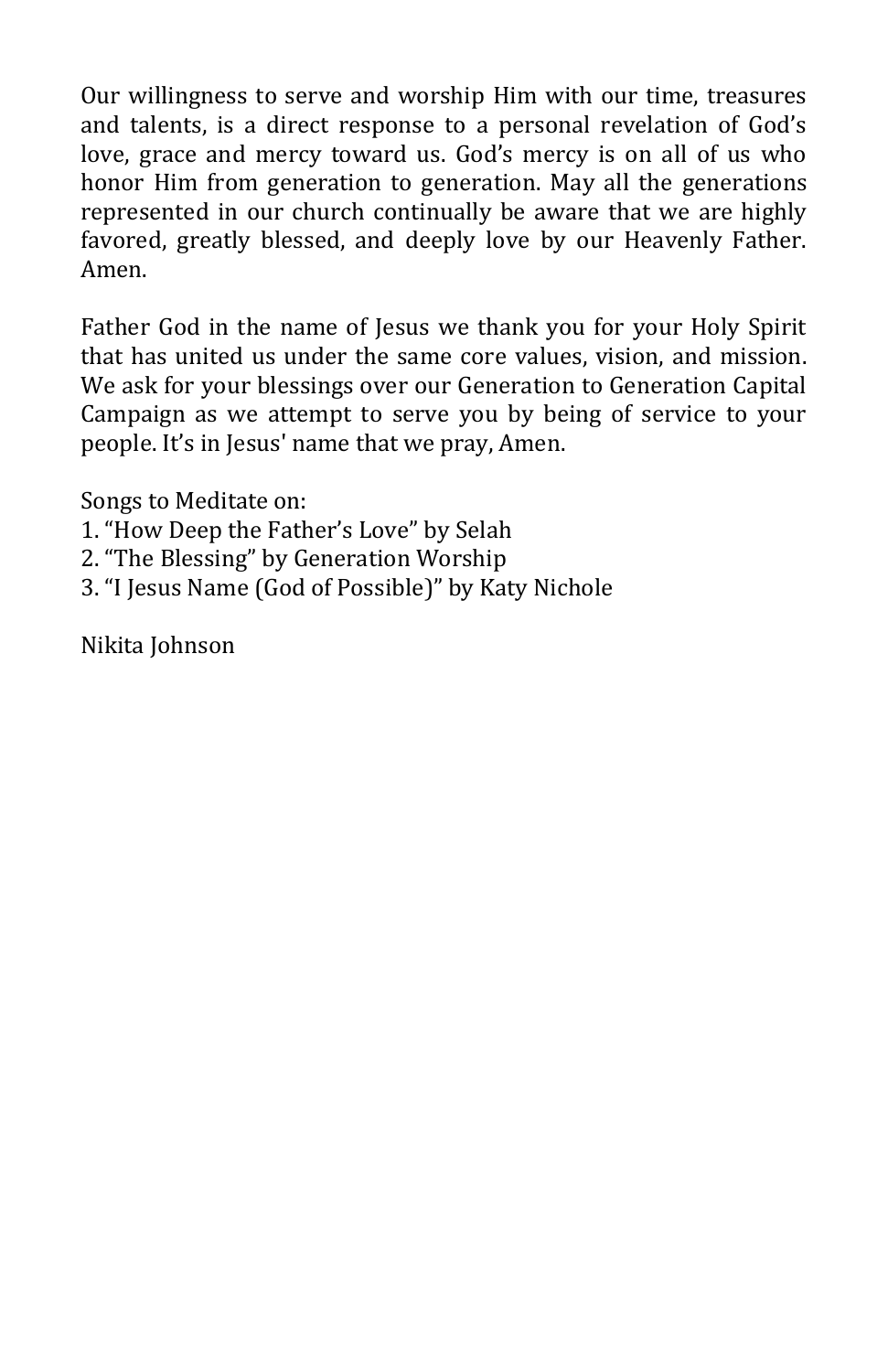Our willingness to serve and worship Him with our time, treasures and talents, is a direct response to a personal revelation of God's love, grace and mercy toward us. God's mercy is on all of us who honor Him from generation to generation. May all the generations represented in our church continually be aware that we are highly favored, greatly blessed, and deeply love by our Heavenly Father. Amen.

Father God in the name of Jesus we thank you for your Holy Spirit that has united us under the same core values, vision, and mission. We ask for your blessings over our Generation to Generation Capital Campaign as we attempt to serve you by being of service to your people. It's in Jesus' name that we pray, Amen.

Songs to Meditate on:

- 1. "How Deep the Father's Love" by Selah
- 2. "The Blessing" by Generation Worship
- 3. "I Jesus Name (God of Possible)" by Katy Nichole

Nikita Johnson